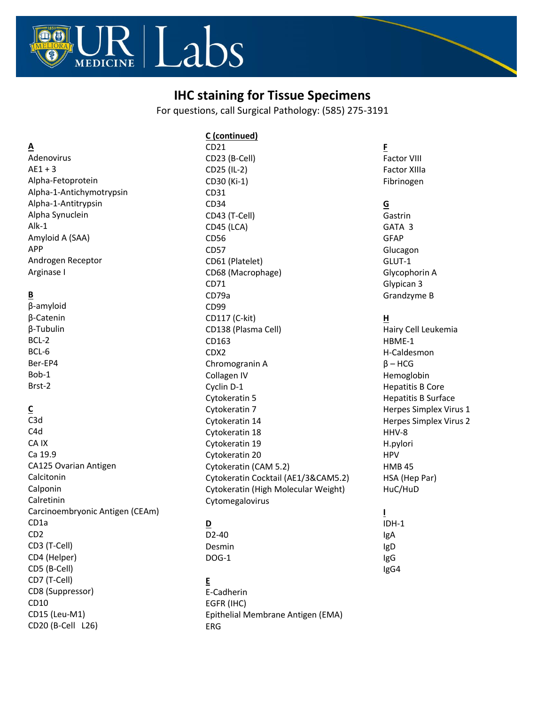

# **IHC staining for Tissue Specimens**

For questions, call Surgical Pathology: (585) 275-3191

#### **A**

Adenovirus  $AE1 + 3$ Alpha-Fetoprotein Alpha-1-Antichymotrypsin Alpha-1-Antitrypsin Alpha Synuclein Alk-1 Amyloid A (SAA) APP Androgen Receptor Arginase I

# **B**

β-amyloid β-Catenin β-Tubulin BCL-2 BCL-6 Ber-EP4 Bob-1 Brst-2

# **C**

C3d C4d CA IX Ca 19.9 CA125 Ovarian Antigen Calcitonin Calponin Calretinin Carcinoembryonic Antigen (CEAm) CD1a CD2 CD3 (T-Cell) CD4 (Helper) CD5 (B-Cell) CD7 (T-Cell) CD8 (Suppressor) CD10 CD15 (Leu-M1) CD20 (B-Cell L26)

**C (continued)** CD21 CD23 (B-Cell) CD25 (IL-2) CD30 (Ki-1) CD31 CD34 CD43 (T-Cell) CD45 (LCA) CD56 CD57 CD61 (Platelet) CD68 (Macrophage) CD71 CD79a CD99 CD117 (C-kit) CD138 (Plasma Cell) CD163 CDX2 Chromogranin A Collagen IV Cyclin D-1 Cytokeratin 5 Cytokeratin 7 Cytokeratin 14 Cytokeratin 18 Cytokeratin 19 Cytokeratin 20 Cytokeratin (CAM 5.2) Cytokeratin Cocktail (AE1/3&CAM5.2) Cytokeratin (High Molecular Weight) Cytomegalovirus

# **D**

D2-40 Desmin DOG-1

#### **E**

E-Cadherin EGFR (IHC) Epithelial Membrane Antigen (EMA) ERG

#### **F** Factor VIII Factor XIIIa Fibrinogen

### **G**

Gastrin GATA 3 GFAP Glucagon GLUT-1 Glycophorin A Glypican 3 Grandzyme B

#### **H**

Hairy Cell Leukemia HBME-1 H-Caldesmon  $β$  – HCG Hemoglobin Hepatitis B Core Hepatitis B Surface Herpes Simplex Virus 1 Herpes Simplex Virus 2 HHV-8 H.pylori HPV HMB 45 HSA (Hep Par) HuC/HuD

**I** IDH-1 IgA IgD IgG IgG4